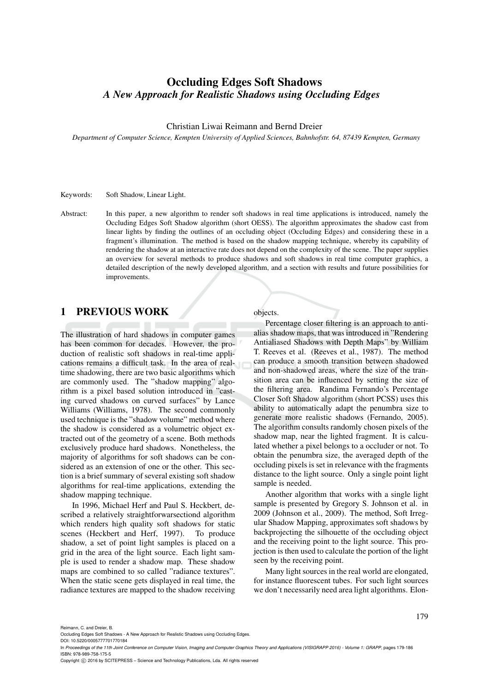# Occluding Edges Soft Shadows *A New Approach for Realistic Shadows using Occluding Edges*

#### Christian Liwai Reimann and Bernd Dreier

*Department of Computer Science, Kempten University of Applied Sciences, Bahnhofstr. 64, 87439 Kempten, Germany*

Keywords: Soft Shadow, Linear Light.

Abstract: In this paper, a new algorithm to render soft shadows in real time applications is introduced, namely the Occluding Edges Soft Shadow algorithm (short OESS). The algorithm approximates the shadow cast from linear lights by finding the outlines of an occluding object (Occluding Edges) and considering these in a fragment's illumination. The method is based on the shadow mapping technique, whereby its capability of rendering the shadow at an interactive rate does not depend on the complexity of the scene. The paper supplies an overview for several methods to produce shadows and soft shadows in real time computer graphics, a detailed description of the newly developed algorithm, and a section with results and future possibilities for improvements.

## 1 PREVIOUS WORK

The illustration of hard shadows in computer games has been common for decades. However, the production of realistic soft shadows in real-time applications remains a difficult task. In the area of realtime shadowing, there are two basic algorithms which are commonly used. The "shadow mapping" algorithm is a pixel based solution introduced in "casting curved shadows on curved surfaces" by Lance Williams (Williams, 1978). The second commonly used technique is the "shadow volume" method where the shadow is considered as a volumetric object extracted out of the geometry of a scene. Both methods exclusively produce hard shadows. Nonetheless, the majority of algorithms for soft shadows can be considered as an extension of one or the other. This section is a brief summary of several existing soft shadow algorithms for real-time applications, extending the shadow mapping technique.

In 1996, Michael Herf and Paul S. Heckbert, described a relatively straightforwarsectiond algorithm which renders high quality soft shadows for static scenes (Heckbert and Herf, 1997). To produce shadow, a set of point light samples is placed on a grid in the area of the light source. Each light sample is used to render a shadow map. These shadow maps are combined to so called "radiance textures". When the static scene gets displayed in real time, the radiance textures are mapped to the shadow receiving

objects.

Percentage closer filtering is an approach to antialias shadow maps, that was introduced in "Rendering Antialiased Shadows with Depth Maps" by William T. Reeves et al. (Reeves et al., 1987). The method can produce a smooth transition between shadowed and non-shadowed areas, where the size of the transition area can be influenced by setting the size of the filtering area. Randima Fernando's Percentage Closer Soft Shadow algorithm (short PCSS) uses this ability to automatically adapt the penumbra size to generate more realistic shadows (Fernando, 2005). The algorithm consults randomly chosen pixels of the shadow map, near the lighted fragment. It is calculated whether a pixel belongs to a occluder or not. To obtain the penumbra size, the averaged depth of the occluding pixels is set in relevance with the fragments distance to the light source. Only a single point light sample is needed.

Another algorithm that works with a single light sample is presented by Gregory S. Johnson et al. in 2009 (Johnson et al., 2009). The method, Soft Irregular Shadow Mapping, approximates soft shadows by backprojecting the silhouette of the occluding object and the receiving point to the light source. This projection is then used to calculate the portion of the light seen by the receiving point.

Many light sources in the real world are elongated, for instance fluorescent tubes. For such light sources we don't necessarily need area light algorithms. Elon-

Reimann, C. and Dreier, B.

DOI: 10.5220/0005777701770184

Copyright (C) 2016 by SCITEPRESS - Science and Technology Publications, Lda. All rights reserved

Occluding Edges Soft Shadows - A New Approach for Realistic Shadows using Occluding Edges.

In *Proceedings of the 11th Joint Conference on Computer Vision, Imaging and Computer Graphics Theory and Applications (VISIGRAPP 2016) - Volume 1: GRAPP*, pages 179-186 ISBN: 978-989-758-175-5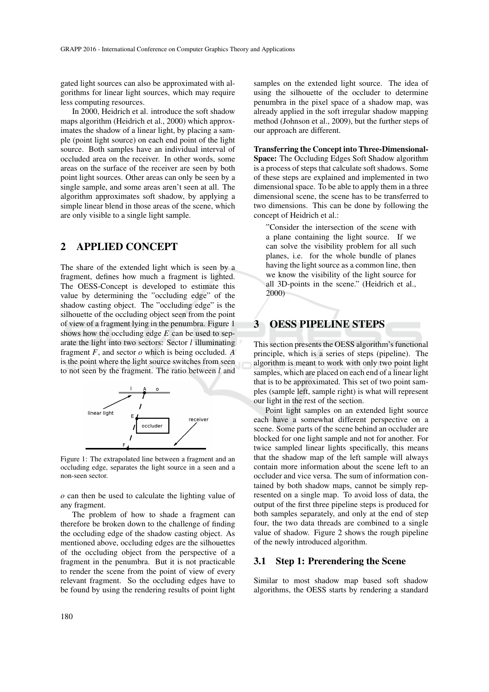gated light sources can also be approximated with algorithms for linear light sources, which may require less computing resources.

In 2000, Heidrich et al. introduce the soft shadow maps algorithm (Heidrich et al., 2000) which approximates the shadow of a linear light, by placing a sample (point light source) on each end point of the light source. Both samples have an individual interval of occluded area on the receiver. In other words, some areas on the surface of the receiver are seen by both point light sources. Other areas can only be seen by a single sample, and some areas aren't seen at all. The algorithm approximates soft shadow, by applying a simple linear blend in those areas of the scene, which are only visible to a single light sample.

## 2 APPLIED CONCEPT

The share of the extended light which is seen by a fragment, defines how much a fragment is lighted. The OESS-Concept is developed to estimate this value by determining the "occluding edge" of the shadow casting object. The "occluding edge" is the silhouette of the occluding object seen from the point of view of a fragment lying in the penumbra. Figure 1 shows how the occluding edge *E* can be used to separate the light into two sectors: Sector *l* illuminating fragment *F*, and sector *o* which is being occluded. *A* is the point where the light source switches from seen to not seen by the fragment. The ratio between *l* and



Figure 1: The extrapolated line between a fragment and an occluding edge, separates the light source in a seen and a non-seen sector.

*o* can then be used to calculate the lighting value of any fragment.

The problem of how to shade a fragment can therefore be broken down to the challenge of finding the occluding edge of the shadow casting object. As mentioned above, occluding edges are the silhouettes of the occluding object from the perspective of a fragment in the penumbra. But it is not practicable to render the scene from the point of view of every relevant fragment. So the occluding edges have to be found by using the rendering results of point light

samples on the extended light source. The idea of using the silhouette of the occluder to determine penumbra in the pixel space of a shadow map, was already applied in the soft irregular shadow mapping method (Johnson et al., 2009), but the further steps of our approach are different.

Transferring the Concept into Three-Dimensional-Space: The Occluding Edges Soft Shadow algorithm is a process of steps that calculate soft shadows. Some of these steps are explained and implemented in two dimensional space. To be able to apply them in a three dimensional scene, the scene has to be transferred to two dimensions. This can be done by following the concept of Heidrich et al.:

"Consider the intersection of the scene with a plane containing the light source. If we can solve the visibility problem for all such planes, i.e. for the whole bundle of planes having the light source as a common line, then we know the visibility of the light source for all 3D-points in the scene." (Heidrich et al., 2000)

### 3 OESS PIPELINE STEPS

This section presents the OESS algorithm's functional principle, which is a series of steps (pipeline). The algorithm is meant to work with only two point light samples, which are placed on each end of a linear light that is to be approximated. This set of two point samples (sample left, sample right) is what will represent our light in the rest of the section.

Point light samples on an extended light source each have a somewhat different perspective on a scene. Some parts of the scene behind an occluder are blocked for one light sample and not for another. For twice sampled linear lights specifically, this means that the shadow map of the left sample will always contain more information about the scene left to an occluder and vice versa. The sum of information contained by both shadow maps, cannot be simply represented on a single map. To avoid loss of data, the output of the first three pipeline steps is produced for both samples separately, and only at the end of step four, the two data threads are combined to a single value of shadow. Figure 2 shows the rough pipeline of the newly introduced algorithm.

### 3.1 Step 1: Prerendering the Scene

Similar to most shadow map based soft shadow algorithms, the OESS starts by rendering a standard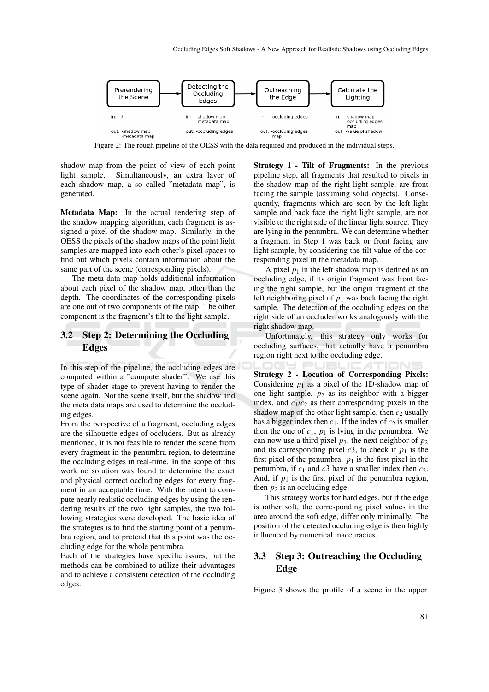

Figure 2: The rough pipeline of the OESS with the data required and produced in the individual steps.

shadow map from the point of view of each point light sample. Simultaneously, an extra layer of each shadow map, a so called "metadata map", is generated.

Metadata Map: In the actual rendering step of the shadow mapping algorithm, each fragment is assigned a pixel of the shadow map. Similarly, in the OESS the pixels of the shadow maps of the point light samples are mapped into each other's pixel spaces to find out which pixels contain information about the same part of the scene (corresponding pixels).

The meta data map holds additional information about each pixel of the shadow map, other than the depth. The coordinates of the corresponding pixels are one out of two components of the map. The other component is the fragment's tilt to the light sample.

### 3.2 Step 2: Determining the Occluding **Edges**

In this step of the pipeline, the occluding edges are computed within a "compute shader". We use this type of shader stage to prevent having to render the scene again. Not the scene itself, but the shadow and the meta data maps are used to determine the occluding edges.

From the perspective of a fragment, occluding edges are the silhouette edges of occluders. But as already mentioned, it is not feasible to render the scene from every fragment in the penumbra region, to determine the occluding edges in real-time. In the scope of this work no solution was found to determine the exact and physical correct occluding edges for every fragment in an acceptable time. With the intent to compute nearly realistic occluding edges by using the rendering results of the two light samples, the two following strategies were developed. The basic idea of the strategies is to find the starting point of a penumbra region, and to pretend that this point was the occluding edge for the whole penumbra.

Each of the strategies have specific issues, but the methods can be combined to utilize their advantages and to achieve a consistent detection of the occluding edges.

Strategy 1 - Tilt of Fragments: In the previous pipeline step, all fragments that resulted to pixels in the shadow map of the right light sample, are front facing the sample (assuming solid objects). Consequently, fragments which are seen by the left light sample and back face the right light sample, are not visible to the right side of the linear light source. They are lying in the penumbra. We can determine whether a fragment in Step 1 was back or front facing any light sample, by considering the tilt value of the corresponding pixel in the metadata map.

A pixel  $p_1$  in the left shadow map is defined as an occluding edge, if its origin fragment was front facing the right sample, but the origin fragment of the left neighboring pixel of  $p_1$  was back facing the right sample. The detection of the occluding edges on the right side of an occluder works analogously with the right shadow map.

Unfortunately, this strategy only works for occluding surfaces, that actually have a penumbra region right next to the occluding edge.

Strategy 2 - Location of Corresponding Pixels: Considering  $p_1$  as a pixel of the 1D-shadow map of one light sample,  $p_2$  as its neighbor with a bigger index, and  $c_1/c_2$  as their corresponding pixels in the shadow map of the other light sample, then  $c_2$  usually has a bigger index then  $c_1$ . If the index of  $c_2$  is smaller then the one of  $c_1$ ,  $p_1$  is lying in the penumbra. We can now use a third pixel  $p_3$ , the next neighbor of  $p_2$ and its corresponding pixel  $c3$ , to check if  $p_1$  is the first pixel of the penumbra.  $p_1$  is the first pixel in the penumbra, if  $c_1$  and  $c_3$  have a smaller index then  $c_2$ . And, if  $p_1$  is the first pixel of the penumbra region, then  $p_2$  is an occluding edge.

This strategy works for hard edges, but if the edge is rather soft, the corresponding pixel values in the area around the soft edge, differ only minimally. The position of the detected occluding edge is then highly influenced by numerical inaccuracies.

### 3.3 Step 3: Outreaching the Occluding Edge

Figure 3 shows the profile of a scene in the upper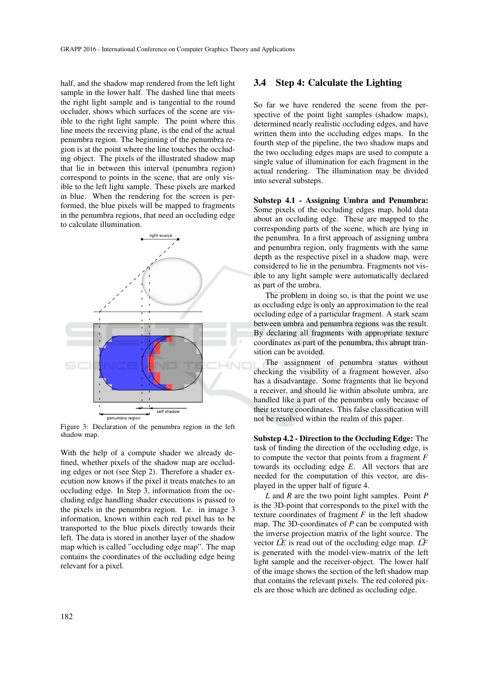half, and the shadow map rendered from the left light sample in the lower half. The dashed line that meets the right light sample and is tangential to the round occluder, shows which surfaces of the scene are visible to the right light sample. The point where this line meets the receiving plane, is the end of the actual penumbra region. The beginning of the penumbra region is at the point where the line touches the occluding object. The pixels of the illustrated shadow map that lie in between this interval (penumbra region) correspond to points in the scene, that are only visible to the left light sample. These pixels are marked in blue. When the rendering for the screen is performed, the blue pixels will be mapped to fragments in the penumbra regions, that need an occluding edge to calculate illumination.



Figure 3: Declaration of the penumbra region in the left shadow map.

With the help of a compute shader we already defined, whether pixels of the shadow map are occluding edges or not (see Step 2). Therefore a shader execution now knows if the pixel it treats matches to an occluding edge. In Step 3, information from the occluding edge handling shader executions is passed to the pixels in the penumbra region. I.e. in image 3 information, known within each red pixel has to be transported to the blue pixels directly towards their left. The data is stored in another layer of the shadow map which is called "occluding edge map". The map contains the coordinates of the occluding edge being relevant for a pixel.

#### 3.4 Step 4: Calculate the Lighting

So far we have rendered the scene from the perspective of the point light samples (shadow maps), determined nearly realistic occluding edges, and have written them into the occluding edges maps. In the fourth step of the pipeline, the two shadow maps and the two occluding edges maps are used to compute a single value of illumination for each fragment in the actual rendering. The illumination may be divided into several substeps.

Substep 4.1 - Assigning Umbra and Penumbra: Some pixels of the occluding edges map, hold data about an occluding edge. These are mapped to the corresponding parts of the scene, which are lying in the penumbra. In a first approach of assigning umbra and penumbra region, only fragments with the same depth as the respective pixel in a shadow map, were considered to lie in the penumbra. Fragments not visible to any light sample were automatically declared as part of the umbra.

The problem in doing so, is that the point we use as occluding edge is only an approximation to the real occluding edge of a particular fragment. A stark seam between umbra and penumbra regions was the result. By declaring all fragments with appropriate texture coordinates as part of the penumbra, this abrupt transition can be avoided.

The assignment of penumbra status without checking the visibility of a fragment however, also has a disadvantage. Some fragments that lie beyond a receiver, and should lie within absolute umbra, are handled like a part of the penumbra only because of their texture coordinates. This false classification will not be resolved within the realm of this paper.

Substep 4.2 - Direction to the Occluding Edge: The task of finding the direction of the occluding edge, is to compute the vector that points from a fragment *F* towards its occluding edge *E*. All vectors that are needed for the computation of this vector, are displayed in the upper half of figure 4.

*L* and *R* are the two point light samples. Point *P* is the 3D-point that corresponds to the pixel with the texture coordinates of fragment *F* in the left shadow map. The 3D-coordinates of *P* can be computed with the inverse projection matrix of the light source. The vector  $\vec{LE}$  is read out of the occluding edge map.  $\vec{LF}$ is generated with the model-view-matrix of the left light sample and the receiver-object. The lower half of the image shows the section of the left shadow map that contains the relevant pixels. The red colored pixels are those which are defined as occluding edge.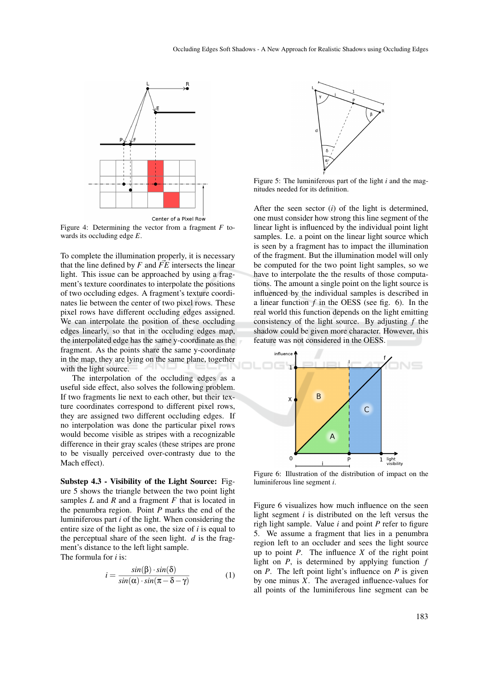

Figure 4: Determining the vector from a fragment *F* towards its occluding edge *E*.

To complete the illumination properly, it is necessary that the line defined by  $F$  and  $\vec{FE}$  intersects the linear light. This issue can be approached by using a fragment's texture coordinates to interpolate the positions of two occluding edges. A fragment's texture coordinates lie between the center of two pixel rows. These pixel rows have different occluding edges assigned. We can interpolate the position of these occluding edges linearly, so that in the occluding edges map, the interpolated edge has the same y-coordinate as the fragment. As the points share the same y-coordinate in the map, they are lying on the same plane, together with the light source.

The interpolation of the occluding edges as a useful side effect, also solves the following problem. If two fragments lie next to each other, but their texture coordinates correspond to different pixel rows, they are assigned two different occluding edges. If no interpolation was done the particular pixel rows would become visible as stripes with a recognizable difference in their gray scales (these stripes are prone to be visually perceived over-contrasty due to the Mach effect).

Substep 4.3 - Visibility of the Light Source: Figure 5 shows the triangle between the two point light samples *L* and *R* and a fragment *F* that is located in the penumbra region. Point *P* marks the end of the luminiferous part *i* of the light. When considering the entire size of the light as one, the size of *i* is equal to the perceptual share of the seen light.  $d$  is the fragment's distance to the left light sample. The formula for *i* is:

$$
i = \frac{\sin(\beta) \cdot \sin(\delta)}{\sin(\alpha) \cdot \sin(\pi - \delta - \gamma)}
$$
(1)



Figure 5: The luminiferous part of the light *i* and the magnitudes needed for its definition.

After the seen sector (*i*) of the light is determined, one must consider how strong this line segment of the linear light is influenced by the individual point light samples. I.e. a point on the linear light source which is seen by a fragment has to impact the illumination of the fragment. But the illumination model will only be computed for the two point light samples, so we have to interpolate the the results of those computations. The amount a single point on the light source is influenced by the individual samples is described in a linear function *f* in the OESS (see fig. 6). In the real world this function depends on the light emitting consistency of the light source. By adjusting *f* the shadow could be given more character. However, this feature was not considered in the OESS.



Figure 6: Illustration of the distribution of impact on the luminiferous line segment *i*.

Figure 6 visualizes how much influence on the seen light segment *i* is distributed on the left versus the righ light sample. Value *i* and point *P* refer to figure 5. We assume a fragment that lies in a penumbra region left to an occluder and sees the light source up to point *P*. The influence *X* of the right point light on *P*, is determined by applying function *f* on *P*. The left point light's influence on *P* is given by one minus *X*. The averaged influence-values for all points of the luminiferous line segment can be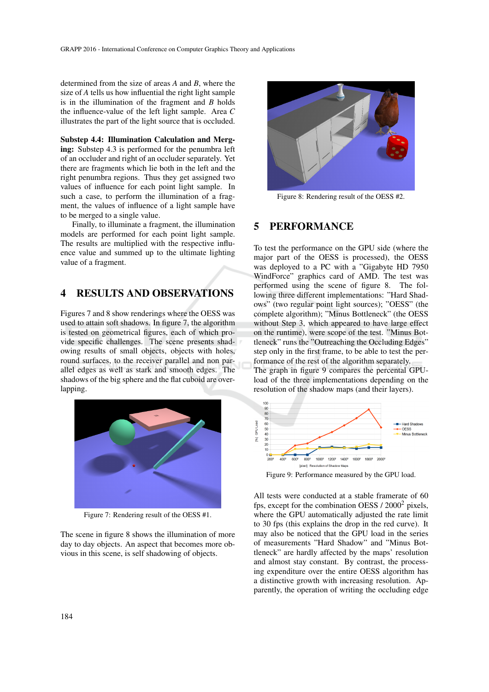determined from the size of areas *A* and *B*, where the size of *A* tells us how influential the right light sample is in the illumination of the fragment and *B* holds the influence-value of the left light sample. Area *C* illustrates the part of the light source that is occluded.

Substep 4.4: Illumination Calculation and Merging: Substep 4.3 is performed for the penumbra left of an occluder and right of an occluder separately. Yet there are fragments which lie both in the left and the right penumbra regions. Thus they get assigned two values of influence for each point light sample. In such a case, to perform the illumination of a fragment, the values of influence of a light sample have to be merged to a single value.

Finally, to illuminate a fragment, the illumination models are performed for each point light sample. The results are multiplied with the respective influence value and summed up to the ultimate lighting value of a fragment.

## 4 RESULTS AND OBSERVATIONS

Figures 7 and 8 show renderings where the OESS was used to attain soft shadows. In figure 7, the algorithm is tested on geometrical figures, each of which provide specific challenges. The scene presents shadowing results of small objects, objects with holes, round surfaces, to the receiver parallel and non parallel edges as well as stark and smooth edges. The shadows of the big sphere and the flat cuboid are overlapping.



Figure 7: Rendering result of the OESS #1.

The scene in figure 8 shows the illumination of more day to day objects. An aspect that becomes more obvious in this scene, is self shadowing of objects.



Figure 8: Rendering result of the OESS #2.

### 5 PERFORMANCE

To test the performance on the GPU side (where the major part of the OESS is processed), the OESS was deployed to a PC with a "Gigabyte HD 7950 WindForce" graphics card of AMD. The test was performed using the scene of figure 8. The following three different implementations: "Hard Shadows" (two regular point light sources); "OESS" (the complete algorithm); "Minus Bottleneck" (the OESS without Step 3, which appeared to have large effect on the runtime), were scope of the test. "Minus Bottleneck" runs the "Outreaching the Occluding Edges" step only in the first frame, to be able to test the performance of the rest of the algorithm separately. The graph in figure 9 compares the percental GPUload of the three implementations depending on the resolution of the shadow maps (and their layers).



Figure 9: Performance measured by the GPU load.

All tests were conducted at a stable framerate of 60 fps, except for the combination OESS  $/ 2000^2$  pixels, where the GPU automatically adjusted the rate limit to 30 fps (this explains the drop in the red curve). It may also be noticed that the GPU load in the series of measurements "Hard Shadow" and "Minus Bottleneck" are hardly affected by the maps' resolution and almost stay constant. By contrast, the processing expenditure over the entire OESS algorithm has a distinctive growth with increasing resolution. Apparently, the operation of writing the occluding edge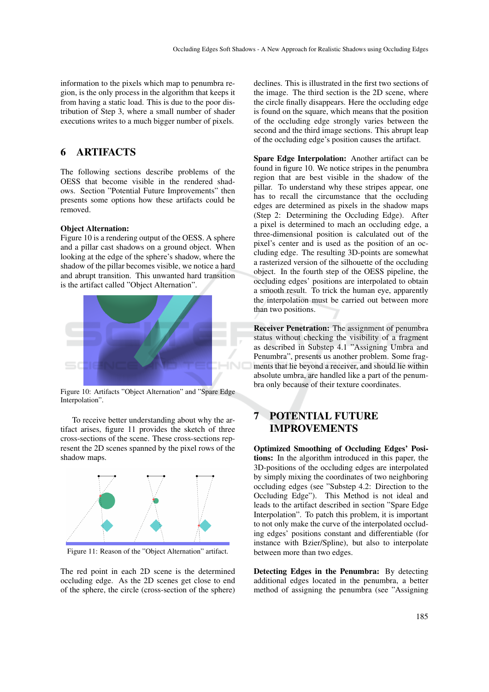information to the pixels which map to penumbra region, is the only process in the algorithm that keeps it from having a static load. This is due to the poor distribution of Step 3, where a small number of shader executions writes to a much bigger number of pixels.

## 6 ARTIFACTS

The following sections describe problems of the OESS that become visible in the rendered shadows. Section "Potential Future Improvements" then presents some options how these artifacts could be removed.

#### Object Alternation:

Figure 10 is a rendering output of the OESS. A sphere and a pillar cast shadows on a ground object. When looking at the edge of the sphere's shadow, where the shadow of the pillar becomes visible, we notice a hard and abrupt transition. This unwanted hard transition is the artifact called "Object Alternation".



Figure 10: Artifacts "Object Alternation" and "Spare Edge Interpolation".

To receive better understanding about why the artifact arises, figure 11 provides the sketch of three cross-sections of the scene. These cross-sections represent the 2D scenes spanned by the pixel rows of the shadow maps.



Figure 11: Reason of the "Object Alternation" artifact.

The red point in each 2D scene is the determined occluding edge. As the 2D scenes get close to end of the sphere, the circle (cross-section of the sphere)

declines. This is illustrated in the first two sections of the image. The third section is the 2D scene, where the circle finally disappears. Here the occluding edge is found on the square, which means that the position of the occluding edge strongly varies between the second and the third image sections. This abrupt leap of the occluding edge's position causes the artifact.

Spare Edge Interpolation: Another artifact can be found in figure 10. We notice stripes in the penumbra region that are best visible in the shadow of the pillar. To understand why these stripes appear, one has to recall the circumstance that the occluding edges are determined as pixels in the shadow maps (Step 2: Determining the Occluding Edge). After a pixel is determined to mach an occluding edge, a three-dimensional position is calculated out of the pixel's center and is used as the position of an occluding edge. The resulting 3D-points are somewhat a rasterized version of the silhouette of the occluding object. In the fourth step of the OESS pipeline, the occluding edges' positions are interpolated to obtain a smooth result. To trick the human eye, apparently the interpolation must be carried out between more than two positions.

Receiver Penetration: The assignment of penumbra status without checking the visibility of a fragment as described in Substep 4.1 "Assigning Umbra and Penumbra", presents us another problem. Some fragments that lie beyond a receiver, and should lie within absolute umbra, are handled like a part of the penumbra only because of their texture coordinates.

## 7 POTENTIAL FUTURE IMPROVEMENTS

Optimized Smoothing of Occluding Edges' Positions: In the algorithm introduced in this paper, the 3D-positions of the occluding edges are interpolated by simply mixing the coordinates of two neighboring occluding edges (see "Substep 4.2: Direction to the Occluding Edge"). This Method is not ideal and leads to the artifact described in section "Spare Edge Interpolation". To patch this problem, it is important to not only make the curve of the interpolated occluding edges' positions constant and differentiable (for instance with Bzier/Spline), but also to interpolate between more than two edges.

Detecting Edges in the Penumbra: By detecting additional edges located in the penumbra, a better method of assigning the penumbra (see "Assigning